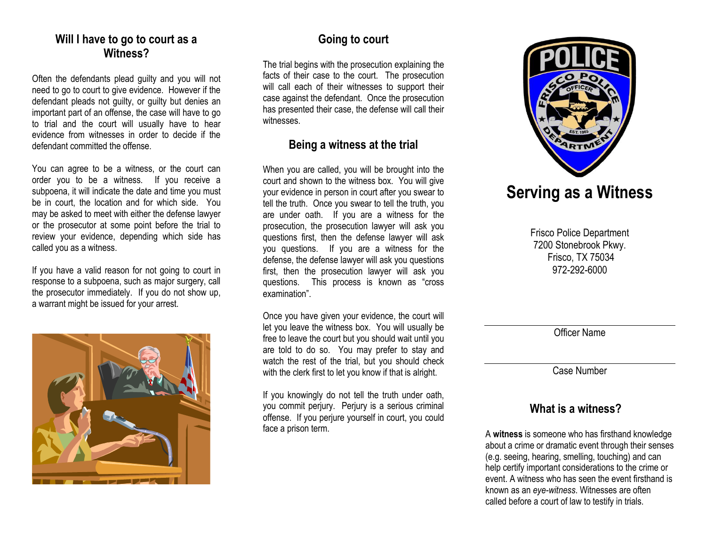#### **Will I have to go to court as a Witness?**

Often the defendants plead guilty and you will not need to go to court to give evidence. However if the defendant pleads not guilty, or guilty but denies an important part of an offense, the case will have to go to trial and the court will usually have to hear evidence from witnesses in order to decide if the defendant committed the offense.

You can agree to be a witness, or the court can order you to be a witness. If you receive a subpoena, it will indicate the date and time you must be in court, the location and for which side. You may be asked to meet with either the defense lawyer or the prosecutor at some point before the trial to review your evidence, depending which side has called you as a witness.

If you have a valid reason for not going to court in response to a subpoena, such as major surgery, call the prosecutor immediately. If you do not show up, a warrant might be issued for your arrest.



# **Going to court**

The trial begins with the prosecution explaining the facts of their case to the court. The prosecution will call each of their witnesses to support their case against the defendant. Once the prosecution has presented their case, the defense will call their witnesses.

# **Being a witness at the trial**

When you are called, you will be brought into the court and shown to the witness box. You will give your evidence in person in court after you swear to tell the truth. Once you swear to tell the truth, you are under oath. If you are a witness for the prosecution, the prosecution lawyer will ask you questions first, then the defense lawyer will ask you questions. If you are a witness for the defense, the defense lawyer will ask you questions first, then the prosecution lawyer will ask you questions. This process is known as "cross examination".

Once you have given your evidence, the court will let you leave the witness box. You will usually be free to leave the court but you should wait until you are told to do so. You may prefer to stay and watch the rest of the trial, but you should check with the clerk first to let you know if that is alright.

If you knowingly do not tell the truth under oath, you commit perjury. Perjury is a serious criminal offense. If you perjure yourself in court, you could face a prison term.



# **Serving as a Witness**

Frisco Police Department 7200 Stonebrook Pkwy. Frisco, TX 75034 972-292-6000

Officer Name

Case Number

# **What is a witness?**

A **witness** is someone who has firsthand knowledge about a [crime](http://en.wikipedia.org/wiki/Crime) or dramatic event through their [senses](http://en.wikipedia.org/wiki/Sense) (e.g. seeing, hearing, smelling, touching) and can help certify important considerations to the crime or event. A witness who has seen the event firsthand is known as an *eye-witness*. Witnesses are often called before a [court](http://en.wikipedia.org/wiki/Court) of law to testify in trials.